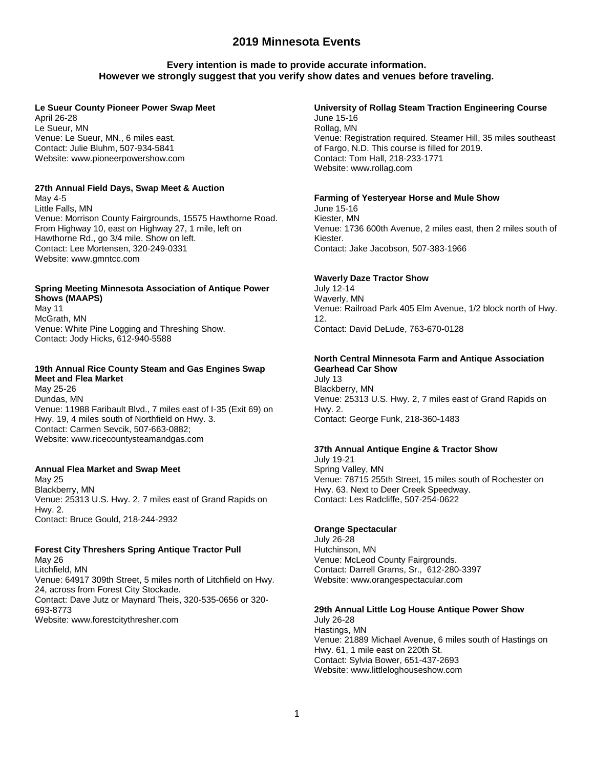## **Every intention is made to provide accurate information. However we strongly suggest that you verify show dates and venues before traveling.**

#### **Le Sueur County Pioneer Power Swap Meet**

April 26-28 Le Sueur, MN Venue: Le Sueur, MN., 6 miles east. Contact: Julie Bluhm, 507-934-5841 Website: www.pioneerpowershow.com

### **27th Annual Field Days, Swap Meet & Auction**

May 4-5 Little Falls, MN Venue: Morrison County Fairgrounds, 15575 Hawthorne Road. From Highway 10, east on Highway 27, 1 mile, left on Hawthorne Rd., go 3/4 mile. Show on left. Contact: Lee Mortensen, 320-249-0331 Website: www.gmntcc.com

## **Spring Meeting Minnesota Association of Antique Power Shows (MAAPS)**

May 11 McGrath, MN Venue: White Pine Logging and Threshing Show. Contact: Jody Hicks, 612-940-5588

## **19th Annual Rice County Steam and Gas Engines Swap Meet and Flea Market**

May 25-26 Dundas, MN Venue: 11988 Faribault Blvd., 7 miles east of I-35 (Exit 69) on Hwy. 19, 4 miles south of Northfield on Hwy. 3. Contact: Carmen Sevcik, 507-663-0882; Website: www.ricecountysteamandgas.com

#### **Annual Flea Market and Swap Meet**

May 25 Blackberry, MN Venue: 25313 U.S. Hwy. 2, 7 miles east of Grand Rapids on Hwy. 2. Contact: Bruce Gould, 218-244-2932

## **Forest City Threshers Spring Antique Tractor Pull**

May 26 Litchfield, MN Venue: 64917 309th Street, 5 miles north of Litchfield on Hwy. 24, across from Forest City Stockade. Contact: Dave Jutz or Maynard Theis, 320-535-0656 or 320- 693-8773 Website: www.forestcitythresher.com

## **University of Rollag Steam Traction Engineering Course**

June 15-16 Rollag, MN Venue: Registration required. Steamer Hill, 35 miles southeast of Fargo, N.D. This course is filled for 2019. Contact: Tom Hall, 218-233-1771 Website: www.rollag.com

### **Farming of Yesteryear Horse and Mule Show**

June 15-16 Kiester, MN Venue: 1736 600th Avenue, 2 miles east, then 2 miles south of Kiester. Contact: Jake Jacobson, 507-383-1966

## **Waverly Daze Tractor Show**

July 12-14 Waverly, MN Venue: Railroad Park 405 Elm Avenue, 1/2 block north of Hwy. 12. Contact: David DeLude, 763-670-0128

#### **North Central Minnesota Farm and Antique Association Gearhead Car Show**

July 13 Blackberry, MN Venue: 25313 U.S. Hwy. 2, 7 miles east of Grand Rapids on Hwy. 2. Contact: George Funk, 218-360-1483

#### **37th Annual Antique Engine & Tractor Show**

July 19-21 Spring Valley, MN Venue: 78715 255th Street, 15 miles south of Rochester on Hwy. 63. Next to Deer Creek Speedway. Contact: Les Radcliffe, 507-254-0622

#### **Orange Spectacular**

July 26-28 Hutchinson, MN Venue: McLeod County Fairgrounds. Contact: Darrell Grams, Sr., 612-280-3397 Website: www.orangespectacular.com

#### **29th Annual Little Log House Antique Power Show**

July 26-28 Hastings, MN Venue: 21889 Michael Avenue, 6 miles south of Hastings on Hwy. 61, 1 mile east on 220th St. Contact: Sylvia Bower, 651-437-2693 Website: www.littleloghouseshow.com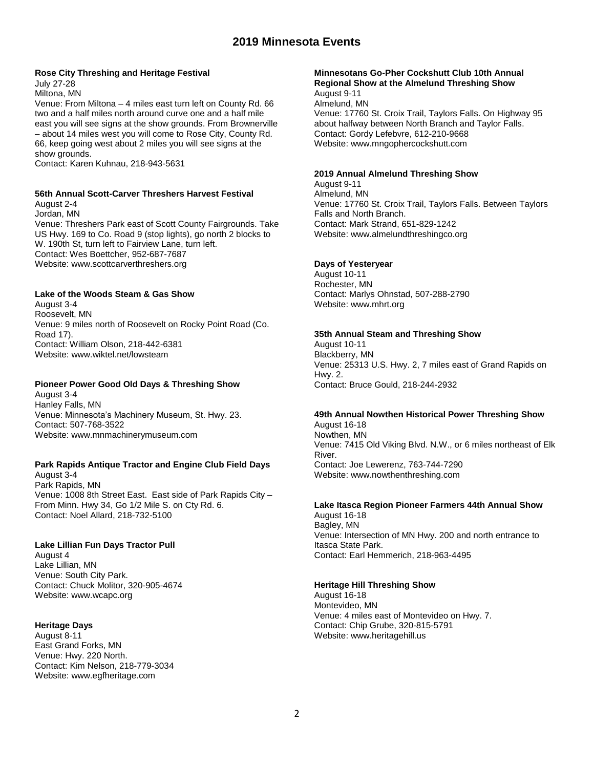#### **Rose City Threshing and Heritage Festival**

July 27-28 Miltona, MN

Venue: From Miltona – 4 miles east turn left on County Rd. 66 two and a half miles north around curve one and a half mile east you will see signs at the show grounds. From Brownerville – about 14 miles west you will come to Rose City, County Rd. 66, keep going west about 2 miles you will see signs at the show grounds.

Contact: Karen Kuhnau, 218-943-5631

### **56th Annual Scott-Carver Threshers Harvest Festival**

August 2-4 Jordan, MN Venue: Threshers Park east of Scott County Fairgrounds. Take US Hwy. 169 to Co. Road 9 (stop lights), go north 2 blocks to W. 190th St, turn left to Fairview Lane, turn left. Contact: Wes Boettcher, 952-687-7687 Website: www.scottcarverthreshers.org

#### **Lake of the Woods Steam & Gas Show**

August 3-4 Roosevelt, MN Venue: 9 miles north of Roosevelt on Rocky Point Road (Co. Road 17). Contact: William Olson, 218-442-6381 Website: www.wiktel.net/lowsteam

## **Pioneer Power Good Old Days & Threshing Show**

August 3-4 Hanley Falls, MN Venue: Minnesota's Machinery Museum, St. Hwy. 23. Contact: 507-768-3522 Website: www.mnmachinerymuseum.com

## **Park Rapids Antique Tractor and Engine Club Field Days**

August 3-4 Park Rapids, MN Venue: 1008 8th Street East. East side of Park Rapids City – From Minn. Hwy 34, Go 1/2 Mile S. on Cty Rd. 6. Contact: Noel Allard, 218-732-5100

#### **Lake Lillian Fun Days Tractor Pull**

August 4 Lake Lillian, MN Venue: South City Park. Contact: Chuck Molitor, 320-905-4674 Website: www.wcapc.org

#### **Heritage Days**

August 8-11 East Grand Forks, MN Venue: Hwy. 220 North. Contact: Kim Nelson, 218-779-3034 Website: www.egfheritage.com

#### **Minnesotans Go-Pher Cockshutt Club 10th Annual Regional Show at the Almelund Threshing Show**

August 9-11 Almelund, MN Venue: 17760 St. Croix Trail, Taylors Falls. On Highway 95 about halfway between North Branch and Taylor Falls. Contact: Gordy Lefebvre, 612-210-9668 Website: www.mngophercockshutt.com

#### **2019 Annual Almelund Threshing Show**

August 9-11 Almelund, MN Venue: 17760 St. Croix Trail, Taylors Falls. Between Taylors Falls and North Branch. Contact: Mark Strand, 651-829-1242 Website: www.almelundthreshingco.org

### **Days of Yesteryear**

August 10-11 Rochester, MN Contact: Marlys Ohnstad, 507-288-2790 Website: www.mhrt.org

#### **35th Annual Steam and Threshing Show**

August 10-11 Blackberry, MN Venue: 25313 U.S. Hwy. 2, 7 miles east of Grand Rapids on Hwy. 2. Contact: Bruce Gould, 218-244-2932

#### **49th Annual Nowthen Historical Power Threshing Show**

August 16-18 Nowthen, MN Venue: 7415 Old Viking Blvd. N.W., or 6 miles northeast of Elk River. Contact: Joe Lewerenz, 763-744-7290 Website: www.nowthenthreshing.com

## **Lake Itasca Region Pioneer Farmers 44th Annual Show**

August 16-18 Bagley, MN Venue: Intersection of MN Hwy. 200 and north entrance to Itasca State Park. Contact: Earl Hemmerich, 218-963-4495

#### **Heritage Hill Threshing Show**

August 16-18 Montevideo, MN Venue: 4 miles east of Montevideo on Hwy. 7. Contact: Chip Grube, 320-815-5791 Website: www.heritagehill.us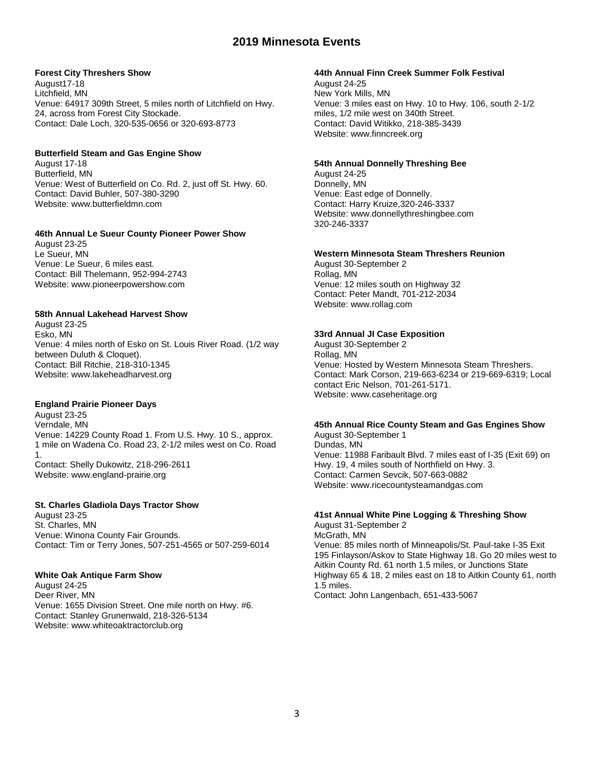#### **Forest City Threshers Show**

August17-18 Litchfield, MN Venue: 64917 309th Street, 5 miles north of Litchfield on Hwy. 24, across from Forest City Stockade. Contact: Dale Loch, 320-535-0656 or 320-693-8773

#### **Butterfield Steam and Gas Engine Show**

August 17-18 Butterfield, MN Venue: West of Butterfield on Co. Rd. 2, just off St. Hwy. 60. Contact: David Buhler, 507-380-3290 Website: www.butterfieldmn.com

### **46th Annual Le Sueur County Pioneer Power Show**

August 23-25 Le Sueur, MN Venue: Le Sueur, 6 miles east. Contact: Bill Thelemann, 952-994-2743 Website: www.pioneerpowershow.com

#### **58th Annual Lakehead Harvest Show**

August 23-25 Esko, MN Venue: 4 miles north of Esko on St. Louis River Road. (1/2 way between Duluth & Cloquet). Contact: Bill Ritchie, 218-310-1345 Website: www.lakeheadharvest.org

## **England Prairie Pioneer Days**

August 23-25 Verndale, MN Venue: 14229 County Road 1. From U.S. Hwy. 10 S., approx. 1 mile on Wadena Co. Road 23, 2-1/2 miles west on Co. Road 1. Contact: Shelly Dukowitz, 218-296-2611 Website: www.england-prairie.org

#### **St. Charles Gladiola Days Tractor Show**

August 23-25 St. Charles, MN Venue: Winona County Fair Grounds. Contact: Tim or Terry Jones, 507-251-4565 or 507-259-6014

#### **White Oak Antique Farm Show**

August 24-25 Deer River, MN Venue: 1655 Division Street. One mile north on Hwy. #6. Contact: Stanley Grunenwald, 218-326-5134 Website: www.whiteoaktractorclub.org

#### **44th Annual Finn Creek Summer Folk Festival**

August 24-25 New York Mills, MN Venue: 3 miles east on Hwy. 10 to Hwy. 106, south 2-1/2 miles, 1/2 mile west on 340th Street. Contact: David Witikko, 218-385-3439 Website: www.finncreek.org

#### **54th Annual Donnelly Threshing Bee**

August 24-25 Donnelly, MN Venue: East edge of Donnelly. Contact: Harry Kruize,320-246-3337 Website: www.donnellythreshingbee.com 320-246-3337

#### **Western Minnesota Steam Threshers Reunion**

August 30-September 2 Rollag, MN Venue: 12 miles south on Highway 32 Contact: Peter Mandt, 701-212-2034 Website: www.rollag.com

## **33rd Annual JI Case Exposition**

August 30-September 2 Rollag, MN Venue: Hosted by Western Minnesota Steam Threshers. Contact: Mark Corson, 219-663-6234 or 219-669-6319; Local contact Eric Nelson, 701-261-5171. Website: www.caseheritage.org

#### **45th Annual Rice County Steam and Gas Engines Show**

August 30-September 1 Dundas, MN Venue: 11988 Faribault Blvd. 7 miles east of I-35 (Exit 69) on Hwy. 19, 4 miles south of Northfield on Hwy. 3. Contact: Carmen Sevcik, 507-663-0882 Website: www.ricecountysteamandgas.com

## **41st Annual White Pine Logging & Threshing Show**

August 31-September 2 McGrath, MN Venue: 85 miles north of Minneapolis/St. Paul-take I-35 Exit 195 Finlayson/Askov to State Highway 18. Go 20 miles west to Aitkin County Rd. 61 north 1.5 miles, or Junctions State Highway 65 & 18, 2 miles east on 18 to Aitkin County 61, north 1.5 miles. Contact: John Langenbach, 651-433-5067